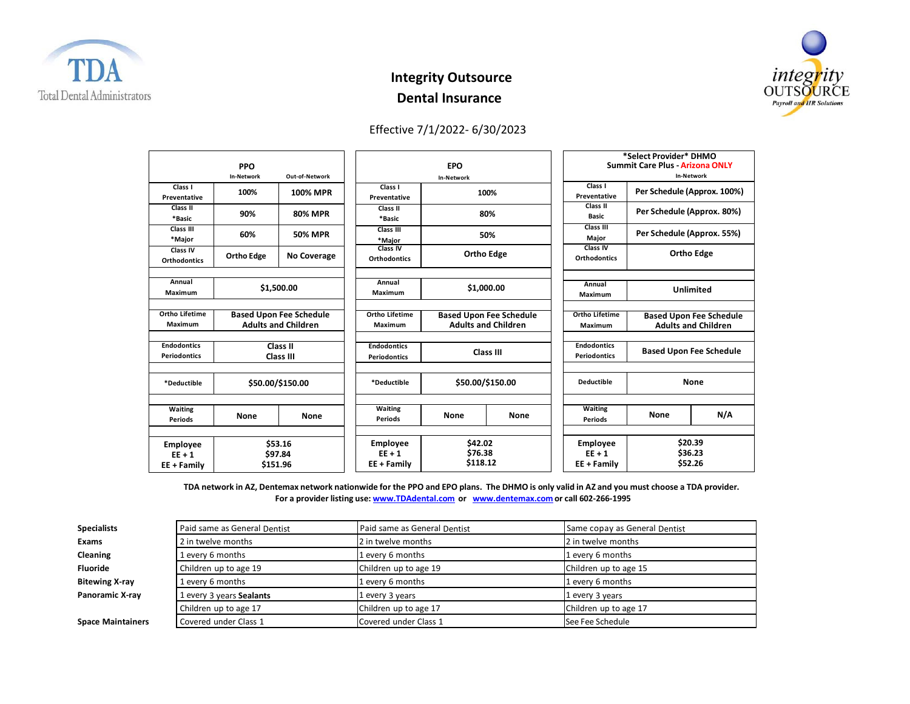

## **Integrity Outsource Dental Insurance**



## Effective 7/1/2022- 6/30/2023

| <b>PPO</b><br><b>In-Network</b><br>Out-of-Network |                                                              |                 | <b>EPO</b><br><b>In-Network</b>            |                                                              |             | *Select Provider* DHMO<br><b>Summit Care Plus - Arizona ONLY</b><br><b>In-Network</b> |                                                              |     |
|---------------------------------------------------|--------------------------------------------------------------|-----------------|--------------------------------------------|--------------------------------------------------------------|-------------|---------------------------------------------------------------------------------------|--------------------------------------------------------------|-----|
| Class I<br>Preventative                           | 100%                                                         | <b>100% MPR</b> | Class I<br>Preventative                    |                                                              | 100%        | Class I<br>Preventative                                                               | Per Schedule (Approx. 100%)                                  |     |
| Class II<br>*Basic                                | 90%                                                          | <b>80% MPR</b>  | Class II<br>*Basic                         |                                                              | 80%         | Class II<br><b>Basic</b>                                                              | Per Schedule (Approx. 80%)                                   |     |
| Class III<br>*Major                               | 60%                                                          | <b>50% MPR</b>  | Class III<br>*Major                        | 50%                                                          |             | Class III<br>Major                                                                    | Per Schedule (Approx. 55%)                                   |     |
| Class IV<br><b>Orthodontics</b>                   | <b>Ortho Edge</b>                                            | No Coverage     | Class IV<br><b>Orthodontics</b>            | <b>Ortho Edge</b>                                            |             | Class IV<br>Orthodontics                                                              | <b>Ortho Edge</b>                                            |     |
| Annual<br>Maximum                                 | \$1,500.00                                                   |                 | Annual<br>Maximum                          | \$1,000.00                                                   |             | Annual<br>Maximum                                                                     | <b>Unlimited</b>                                             |     |
| Ortho Lifetime<br>Maximum                         | <b>Based Upon Fee Schedule</b><br><b>Adults and Children</b> |                 | <b>Ortho Lifetime</b><br>Maximum           | <b>Based Upon Fee Schedule</b><br><b>Adults and Children</b> |             | <b>Ortho Lifetime</b><br>Maximum                                                      | <b>Based Upon Fee Schedule</b><br><b>Adults and Children</b> |     |
| <b>Endodontics</b><br><b>Periodontics</b>         | Class II<br>Class III                                        |                 | <b>Endodontics</b><br><b>Periodontics</b>  | Class III                                                    |             | <b>Endodontics</b><br><b>Periodontics</b>                                             | <b>Based Upon Fee Schedule</b>                               |     |
| *Deductible                                       | \$50.00/\$150.00                                             |                 | *Deductible                                | \$50.00/\$150.00                                             |             | <b>Deductible</b>                                                                     | None                                                         |     |
| Waiting<br><b>Periods</b>                         | None                                                         | <b>None</b>     | <b>Waiting</b><br><b>Periods</b>           | <b>None</b>                                                  | <b>None</b> | <b>Waiting</b><br><b>Periods</b>                                                      | None                                                         | N/A |
| <b>Employee</b><br>$EF + 1$<br>$EE + Family$      | \$53.16<br>\$97.84<br>\$151.96                               |                 | <b>Employee</b><br>$EF + 1$<br>EE + Family | \$42.02<br>\$76.38<br>\$118.12                               |             | <b>Employee</b><br>$EE + 1$<br>$EE + Family$                                          | \$20.39<br>\$36.23<br>\$52.26                                |     |

TDA network in AZ, Dentemax network nationwide for the PPO and EPO plans. The DHMO is only valid in AZ and you must choose a TDA provider. **For a provider listing use: [www.TDAdental.com](http://www.tdadental.com/) or [www.dentemax.com](http://www.dentemax.com/) or call 602‐266‐1995**

| <b>Specialists</b>       | Paid same as General Dentist | Paid same as General Dentist | Same copay as General Dentist |  |
|--------------------------|------------------------------|------------------------------|-------------------------------|--|
| <b>Exams</b>             | 2 in twelve months           | 2 in twelve months           | 2 in twelve months            |  |
| Cleaning                 | 1 every 6 months             | 1 every 6 months             | 1 every 6 months              |  |
| <b>Fluoride</b>          | Children up to age 19        | Children up to age 19        | Children up to age 15         |  |
| <b>Bitewing X-ray</b>    | 1 every 6 months             | 1 every 6 months             | 1 every 6 months              |  |
| Panoramic X-ray          | L every 3 years Sealants     | 1 every 3 years              | 1 every 3 years               |  |
|                          | Children up to age 17        | Children up to age 17        | Children up to age 17         |  |
| <b>Space Maintainers</b> | Covered under Class 1        | Covered under Class 1        | See Fee Schedule              |  |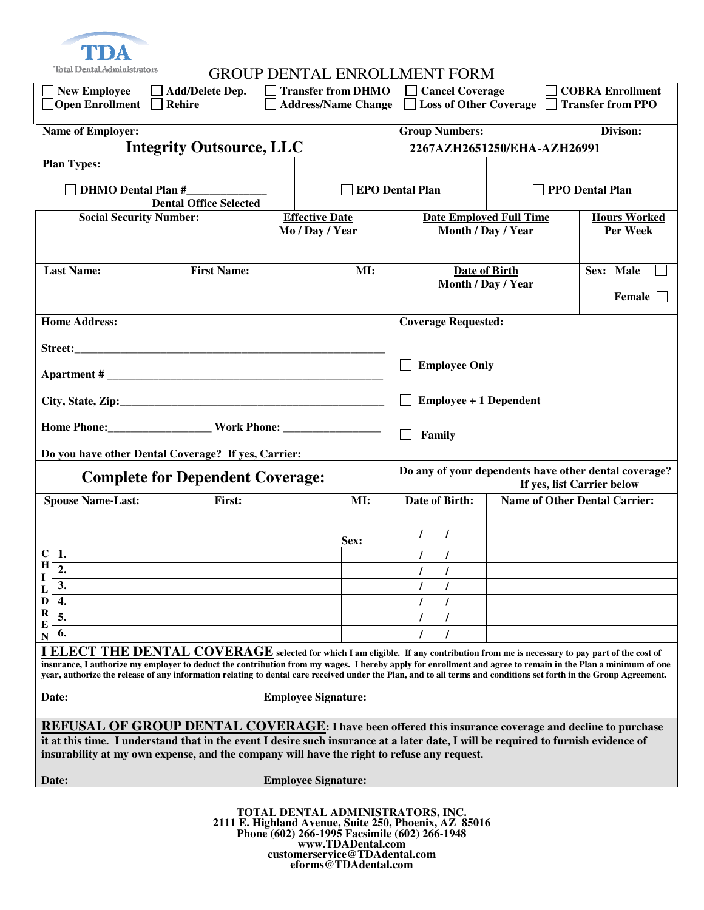

| New Employee<br>$\Box$ Add/Delete Dep.<br>$\Box$ Open Enrollment<br>Rehire                                                                                                                                                                                                                                                                                                                                                                                                 |                                   | <b>Transfer from DHMO</b><br><b>Address/Name Change</b> | <b>Cancel Coverage</b><br>$\perp$                                                   | Loss of Other Coverage Transfer from PPO | COBRA Enrollment                     |  |
|----------------------------------------------------------------------------------------------------------------------------------------------------------------------------------------------------------------------------------------------------------------------------------------------------------------------------------------------------------------------------------------------------------------------------------------------------------------------------|-----------------------------------|---------------------------------------------------------|-------------------------------------------------------------------------------------|------------------------------------------|--------------------------------------|--|
| Name of Employer:                                                                                                                                                                                                                                                                                                                                                                                                                                                          | <b>Group Numbers:</b><br>Divison: |                                                         |                                                                                     |                                          |                                      |  |
| <b>Integrity Outsource, LLC</b>                                                                                                                                                                                                                                                                                                                                                                                                                                            | 2267AZH2651250/EHA-AZH26991       |                                                         |                                                                                     |                                          |                                      |  |
| <b>Plan Types:</b>                                                                                                                                                                                                                                                                                                                                                                                                                                                         |                                   |                                                         |                                                                                     |                                          |                                      |  |
| <b>DHMO</b> Dental Plan #<br><b>Dental Office Selected</b>                                                                                                                                                                                                                                                                                                                                                                                                                 | <b>EPO Dental Plan</b>            |                                                         | <b>PPO Dental Plan</b>                                                              |                                          |                                      |  |
| <b>Social Security Number:</b>                                                                                                                                                                                                                                                                                                                                                                                                                                             |                                   | <b>Effective Date</b>                                   |                                                                                     | <b>Date Employed Full Time</b>           | <b>Hours Worked</b>                  |  |
|                                                                                                                                                                                                                                                                                                                                                                                                                                                                            |                                   | Mo / Day / Year                                         |                                                                                     | Month / Day / Year                       | Per Week                             |  |
| <b>First Name:</b><br><b>Last Name:</b>                                                                                                                                                                                                                                                                                                                                                                                                                                    |                                   | MI:                                                     |                                                                                     | <b>Date of Birth</b>                     | Sex: Male                            |  |
|                                                                                                                                                                                                                                                                                                                                                                                                                                                                            |                                   |                                                         |                                                                                     | Month / Day / Year                       | Female <b>F</b>                      |  |
| <b>Home Address:</b>                                                                                                                                                                                                                                                                                                                                                                                                                                                       |                                   |                                                         | <b>Coverage Requested:</b>                                                          |                                          |                                      |  |
|                                                                                                                                                                                                                                                                                                                                                                                                                                                                            |                                   |                                                         |                                                                                     |                                          |                                      |  |
| <b>Apartment #</b>                                                                                                                                                                                                                                                                                                                                                                                                                                                         |                                   |                                                         | <b>Employee Only</b>                                                                |                                          |                                      |  |
|                                                                                                                                                                                                                                                                                                                                                                                                                                                                            |                                   |                                                         | <b>Employee + 1 Dependent</b>                                                       |                                          |                                      |  |
|                                                                                                                                                                                                                                                                                                                                                                                                                                                                            |                                   |                                                         | Family                                                                              |                                          |                                      |  |
| Do you have other Dental Coverage? If yes, Carrier:                                                                                                                                                                                                                                                                                                                                                                                                                        |                                   |                                                         |                                                                                     |                                          |                                      |  |
| <b>Complete for Dependent Coverage:</b>                                                                                                                                                                                                                                                                                                                                                                                                                                    |                                   |                                                         | Do any of your dependents have other dental coverage?<br>If yes, list Carrier below |                                          |                                      |  |
| <b>Spouse Name-Last:</b><br>First:                                                                                                                                                                                                                                                                                                                                                                                                                                         |                                   | MI:                                                     | Date of Birth:                                                                      |                                          | <b>Name of Other Dental Carrier:</b> |  |
|                                                                                                                                                                                                                                                                                                                                                                                                                                                                            |                                   | Sex:                                                    | $\prime$<br>$\prime$                                                                |                                          |                                      |  |
| $C 1$ .<br>$\mathbf H$                                                                                                                                                                                                                                                                                                                                                                                                                                                     |                                   |                                                         | $\prime$                                                                            |                                          |                                      |  |
| $\mathbf I$                                                                                                                                                                                                                                                                                                                                                                                                                                                                |                                   |                                                         | $\prime$                                                                            |                                          |                                      |  |
| 3.<br>$\mathbf{L}$<br>D<br>4.                                                                                                                                                                                                                                                                                                                                                                                                                                              |                                   |                                                         |                                                                                     |                                          |                                      |  |
| $\bf{R}$<br>5.                                                                                                                                                                                                                                                                                                                                                                                                                                                             |                                   |                                                         |                                                                                     |                                          |                                      |  |
| E<br>6.                                                                                                                                                                                                                                                                                                                                                                                                                                                                    |                                   |                                                         | $\prime$                                                                            |                                          |                                      |  |
| N<br>I ELECT THE DENTAL COVERAGE selected for which I am eligible. If any contribution from me is necessary to pay part of the cost of<br>insurance, I authorize my employer to deduct the contribution from my wages. I hereby apply for enrollment and agree to remain in the Plan a minimum of one<br>year, authorize the release of any information relating to dental care received under the Plan, and to all terms and conditions set forth in the Group Agreement. |                                   |                                                         |                                                                                     |                                          |                                      |  |
| <b>Employee Signature:</b><br>Date:                                                                                                                                                                                                                                                                                                                                                                                                                                        |                                   |                                                         |                                                                                     |                                          |                                      |  |
| REFUSAL OF GROUP DENTAL COVERAGE: I have been offered this insurance coverage and decline to purchase<br>it at this time. I understand that in the event I desire such insurance at a later date, I will be required to furnish evidence of<br>insurability at my own expense, and the company will have the right to refuse any request.<br><b>Employee Signature:</b><br>Date:                                                                                           |                                   |                                                         |                                                                                     |                                          |                                      |  |
|                                                                                                                                                                                                                                                                                                                                                                                                                                                                            |                                   |                                                         |                                                                                     |                                          |                                      |  |

**TOTAL DENTAL ADMINISTRATORS, INC. 2111 E. Highland Avenue, Suite 250, Phoenix, AZ 85016 Phone (602) 266-1995 Facsimile (602) 266-1948 www.TDADental.com customerservice@TDAdental.com eforms@TDAdental.com**